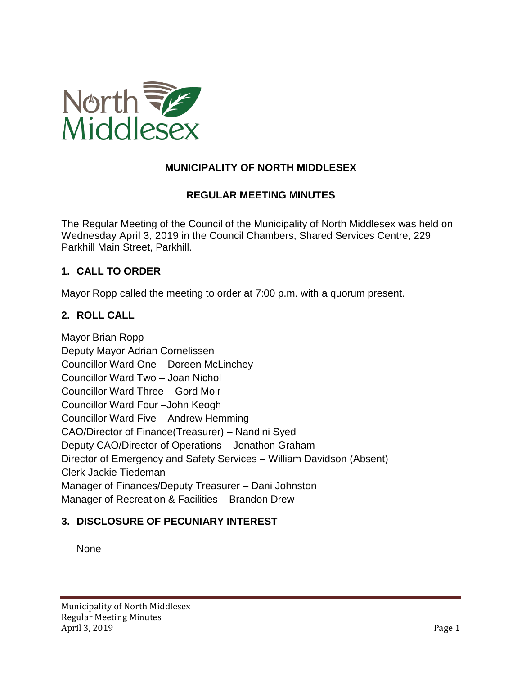

## **MUNICIPALITY OF NORTH MIDDLESEX**

## **REGULAR MEETING MINUTES**

The Regular Meeting of the Council of the Municipality of North Middlesex was held on Wednesday April 3, 2019 in the Council Chambers, Shared Services Centre, 229 Parkhill Main Street, Parkhill.

## **1. CALL TO ORDER**

Mayor Ropp called the meeting to order at 7:00 p.m. with a quorum present.

#### **2. ROLL CALL**

Mayor Brian Ropp Deputy Mayor Adrian Cornelissen Councillor Ward One – Doreen McLinchey Councillor Ward Two – Joan Nichol Councillor Ward Three – Gord Moir Councillor Ward Four –John Keogh Councillor Ward Five – Andrew Hemming CAO/Director of Finance(Treasurer) – Nandini Syed Deputy CAO/Director of Operations – Jonathon Graham Director of Emergency and Safety Services – William Davidson (Absent) Clerk Jackie Tiedeman Manager of Finances/Deputy Treasurer – Dani Johnston Manager of Recreation & Facilities – Brandon Drew

#### **3. DISCLOSURE OF PECUNIARY INTEREST**

None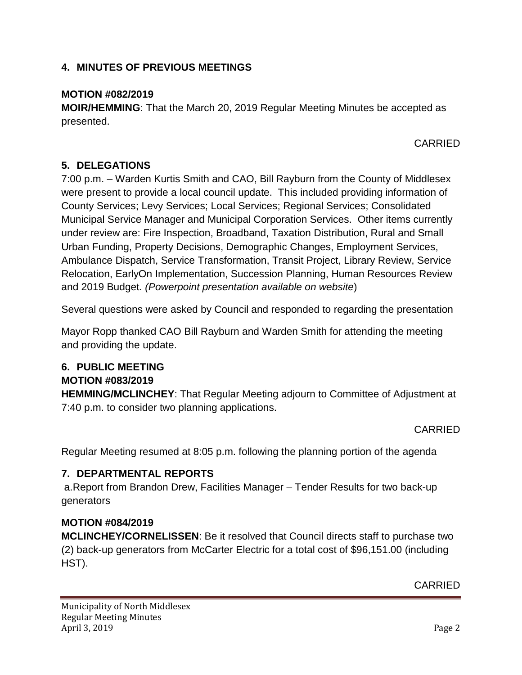# **4. MINUTES OF PREVIOUS MEETINGS**

## **MOTION #082/2019**

**MOIR/HEMMING**: That the March 20, 2019 Regular Meeting Minutes be accepted as presented.

CARRIED

# **5. DELEGATIONS**

7:00 p.m. – Warden Kurtis Smith and CAO, Bill Rayburn from the County of Middlesex were present to provide a local council update. This included providing information of County Services; Levy Services; Local Services; Regional Services; Consolidated Municipal Service Manager and Municipal Corporation Services. Other items currently under review are: Fire Inspection, Broadband, Taxation Distribution, Rural and Small Urban Funding, Property Decisions, Demographic Changes, Employment Services, Ambulance Dispatch, Service Transformation, Transit Project, Library Review, Service Relocation, EarlyOn Implementation, Succession Planning, Human Resources Review and 2019 Budget*. (Powerpoint presentation available on website*)

Several questions were asked by Council and responded to regarding the presentation

Mayor Ropp thanked CAO Bill Rayburn and Warden Smith for attending the meeting and providing the update.

# **6. PUBLIC MEETING**

## **MOTION #083/2019**

**HEMMING/MCLINCHEY**: That Regular Meeting adjourn to Committee of Adjustment at 7:40 p.m. to consider two planning applications.

CARRIED

Regular Meeting resumed at 8:05 p.m. following the planning portion of the agenda

# **7. DEPARTMENTAL REPORTS**

a.Report from Brandon Drew, Facilities Manager – Tender Results for two back-up generators

## **MOTION #084/2019**

**MCLINCHEY/CORNELISSEN**: Be it resolved that Council directs staff to purchase two (2) back-up generators from McCarter Electric for a total cost of \$96,151.00 (including HST).

CARRIED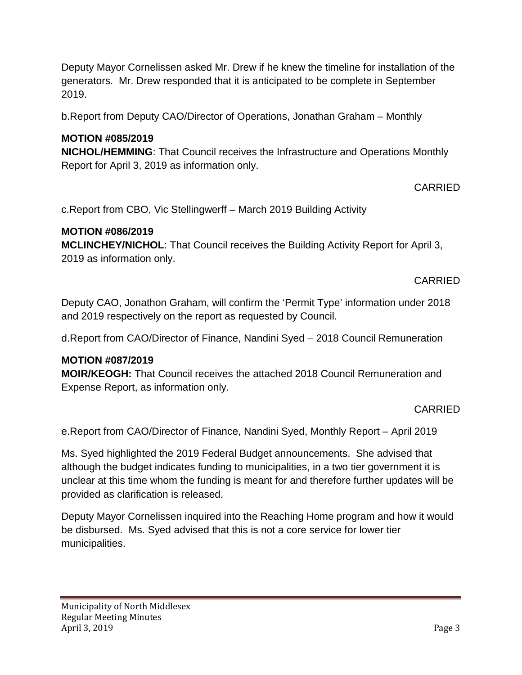Deputy Mayor Cornelissen asked Mr. Drew if he knew the timeline for installation of the generators. Mr. Drew responded that it is anticipated to be complete in September 2019.

b.Report from Deputy CAO/Director of Operations, Jonathan Graham – Monthly

# **MOTION #085/2019**

**NICHOL/HEMMING**: That Council receives the Infrastructure and Operations Monthly Report for April 3, 2019 as information only.

# CARRIED

c.Report from CBO, Vic Stellingwerff – March 2019 Building Activity

## **MOTION #086/2019**

**MCLINCHEY/NICHOL**: That Council receives the Building Activity Report for April 3, 2019 as information only.

## CARRIED

Deputy CAO, Jonathon Graham, will confirm the 'Permit Type' information under 2018 and 2019 respectively on the report as requested by Council.

d.Report from CAO/Director of Finance, Nandini Syed – 2018 Council Remuneration

## **MOTION #087/2019**

**MOIR/KEOGH:** That Council receives the attached 2018 Council Remuneration and Expense Report, as information only.

## CARRIED

e.Report from CAO/Director of Finance, Nandini Syed, Monthly Report – April 2019

Ms. Syed highlighted the 2019 Federal Budget announcements. She advised that although the budget indicates funding to municipalities, in a two tier government it is unclear at this time whom the funding is meant for and therefore further updates will be provided as clarification is released.

Deputy Mayor Cornelissen inquired into the Reaching Home program and how it would be disbursed. Ms. Syed advised that this is not a core service for lower tier municipalities.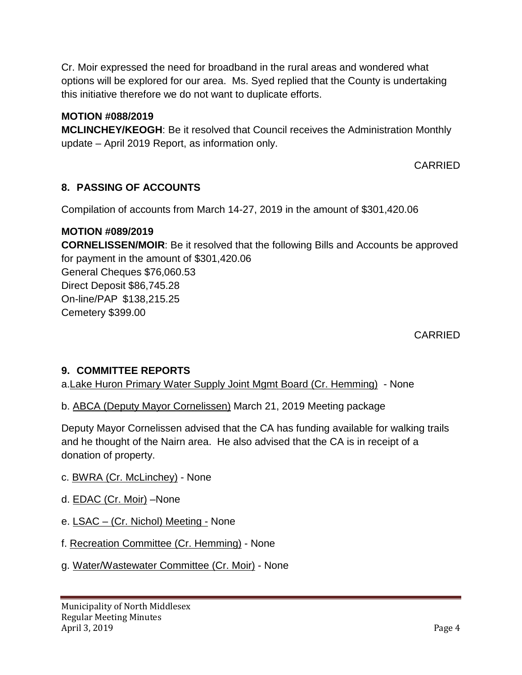Cr. Moir expressed the need for broadband in the rural areas and wondered what options will be explored for our area. Ms. Syed replied that the County is undertaking this initiative therefore we do not want to duplicate efforts.

## **MOTION #088/2019**

**MCLINCHEY/KEOGH**: Be it resolved that Council receives the Administration Monthly update – April 2019 Report, as information only.

CARRIED

# **8. PASSING OF ACCOUNTS**

Compilation of accounts from March 14-27, 2019 in the amount of \$301,420.06

## **MOTION #089/2019**

**CORNELISSEN/MOIR**: Be it resolved that the following Bills and Accounts be approved for payment in the amount of \$301,420.06 General Cheques \$76,060.53 Direct Deposit \$86,745.28 On-line/PAP \$138,215.25 Cemetery \$399.00

CARRIED

## **9. COMMITTEE REPORTS**

a.Lake Huron Primary Water Supply Joint Mgmt Board (Cr. Hemming) - None

b. ABCA (Deputy Mayor Cornelissen) March 21, 2019 Meeting package

Deputy Mayor Cornelissen advised that the CA has funding available for walking trails and he thought of the Nairn area. He also advised that the CA is in receipt of a donation of property.

- c. BWRA (Cr. McLinchey) None
- d. **EDAC** (Cr. Moir) -None
- e. LSAC (Cr. Nichol) Meeting None
- f. Recreation Committee (Cr. Hemming) None
- g. Water/Wastewater Committee (Cr. Moir) None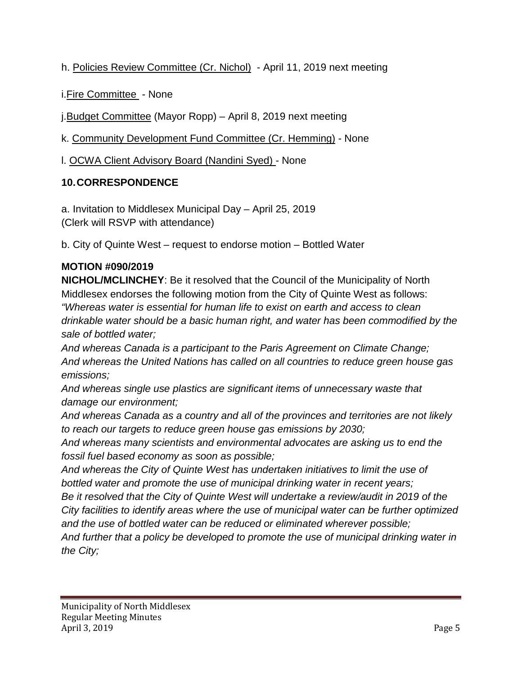h. Policies Review Committee (Cr. Nichol) - April 11, 2019 next meeting

i.Fire Committee - None

j.Budget Committee (Mayor Ropp) – April 8, 2019 next meeting

k. Community Development Fund Committee (Cr. Hemming) - None

l. OCWA Client Advisory Board (Nandini Syed) - None

# **10.CORRESPONDENCE**

a. Invitation to Middlesex Municipal Day – April 25, 2019 (Clerk will RSVP with attendance)

b. City of Quinte West – request to endorse motion – Bottled Water

# **MOTION #090/2019**

**NICHOL/MCLINCHEY**: Be it resolved that the Council of the Municipality of North Middlesex endorses the following motion from the City of Quinte West as follows: *"Whereas water is essential for human life to exist on earth and access to clean drinkable water should be a basic human right, and water has been commodified by the sale of bottled water;*

*And whereas Canada is a participant to the Paris Agreement on Climate Change; And whereas the United Nations has called on all countries to reduce green house gas emissions;*

*And whereas single use plastics are significant items of unnecessary waste that damage our environment;*

*And whereas Canada as a country and all of the provinces and territories are not likely to reach our targets to reduce green house gas emissions by 2030;*

*And whereas many scientists and environmental advocates are asking us to end the fossil fuel based economy as soon as possible;*

*And whereas the City of Quinte West has undertaken initiatives to limit the use of bottled water and promote the use of municipal drinking water in recent years;*

*Be it resolved that the City of Quinte West will undertake a review/audit in 2019 of the City facilities to identify areas where the use of municipal water can be further optimized and the use of bottled water can be reduced or eliminated wherever possible;*

*And further that a policy be developed to promote the use of municipal drinking water in the City;*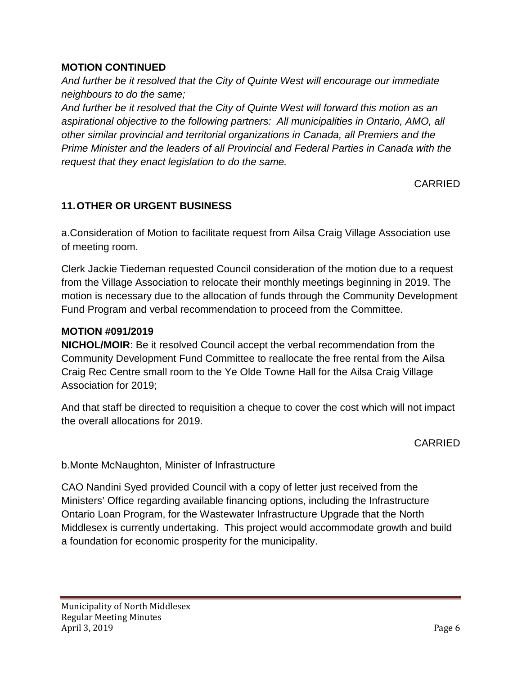## **MOTION CONTINUED**

*And further be it resolved that the City of Quinte West will encourage our immediate neighbours to do the same;*

*And further be it resolved that the City of Quinte West will forward this motion as an aspirational objective to the following partners: All municipalities in Ontario, AMO, all other similar provincial and territorial organizations in Canada, all Premiers and the Prime Minister and the leaders of all Provincial and Federal Parties in Canada with the request that they enact legislation to do the same.*

CARRIED

# **11.OTHER OR URGENT BUSINESS**

a.Consideration of Motion to facilitate request from Ailsa Craig Village Association use of meeting room.

Clerk Jackie Tiedeman requested Council consideration of the motion due to a request from the Village Association to relocate their monthly meetings beginning in 2019. The motion is necessary due to the allocation of funds through the Community Development Fund Program and verbal recommendation to proceed from the Committee.

#### **MOTION #091/2019**

**NICHOL/MOIR**: Be it resolved Council accept the verbal recommendation from the Community Development Fund Committee to reallocate the free rental from the Ailsa Craig Rec Centre small room to the Ye Olde Towne Hall for the Ailsa Craig Village Association for 2019;

And that staff be directed to requisition a cheque to cover the cost which will not impact the overall allocations for 2019.

CARRIED

b.Monte McNaughton, Minister of Infrastructure

CAO Nandini Syed provided Council with a copy of letter just received from the Ministers' Office regarding available financing options, including the Infrastructure Ontario Loan Program, for the Wastewater Infrastructure Upgrade that the North Middlesex is currently undertaking. This project would accommodate growth and build a foundation for economic prosperity for the municipality.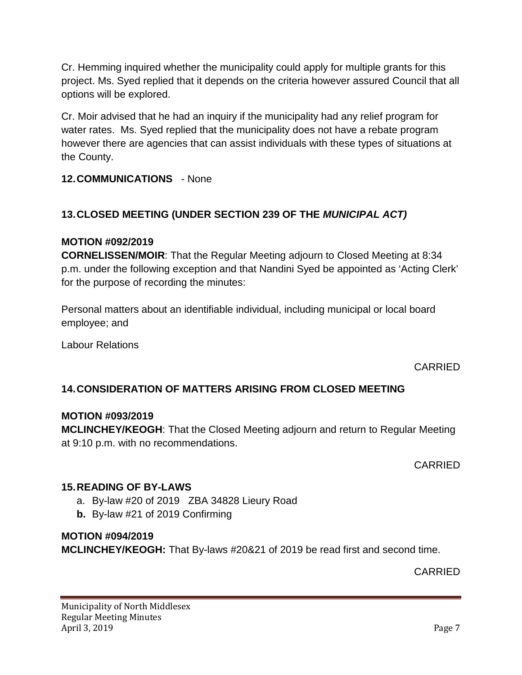Cr. Hemming inquired whether the municipality could apply for multiple grants for this project. Ms. Syed replied that it depends on the criteria however assured Council that all options will be explored.

Cr. Moir advised that he had an inquiry if the municipality had any relief program for water rates. Ms. Syed replied that the municipality does not have a rebate program however there are agencies that can assist individuals with these types of situations at the County.

**12.COMMUNICATIONS** - None

# **13.CLOSED MEETING (UNDER SECTION 239 OF THE** *MUNICIPAL ACT)*

## **MOTION #092/2019**

**CORNELISSEN/MOIR**: That the Regular Meeting adjourn to Closed Meeting at 8:34 p.m. under the following exception and that Nandini Syed be appointed as 'Acting Clerk' for the purpose of recording the minutes:

Personal matters about an identifiable individual, including municipal or local board employee; and

Labour Relations

CARRIED

## **14.CONSIDERATION OF MATTERS ARISING FROM CLOSED MEETING**

## **MOTION #093/2019**

**MCLINCHEY/KEOGH**: That the Closed Meeting adjourn and return to Regular Meeting at 9:10 p.m. with no recommendations.

CARRIED

## **15.READING OF BY-LAWS**

- a. By-law #20 of 2019 ZBA 34828 Lieury Road
- **b.** By-law #21 of 2019 Confirming

## **MOTION #094/2019**

**MCLINCHEY/KEOGH:** That By-laws #20&21 of 2019 be read first and second time.

CARRIED